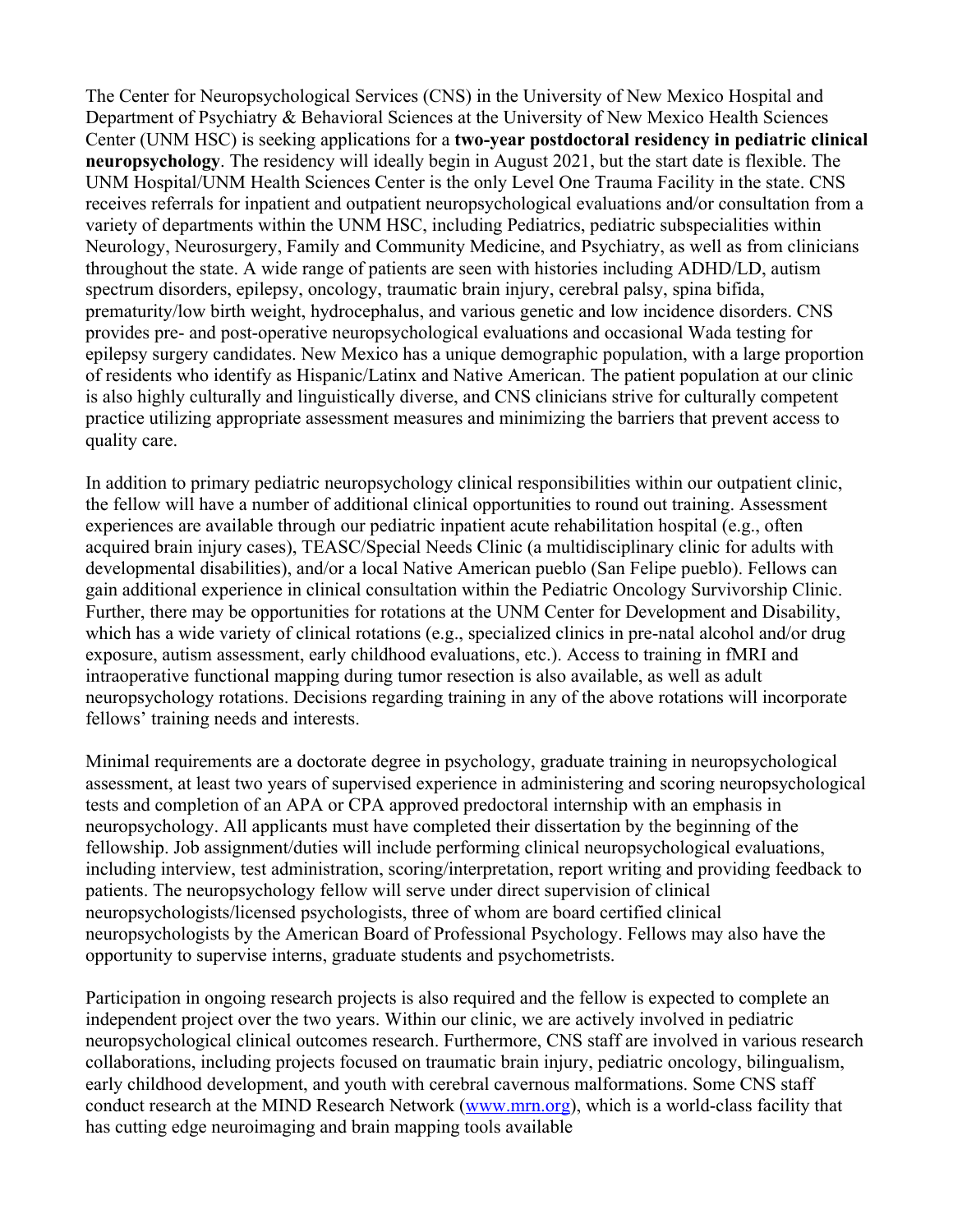The Center for Neuropsychological Services (CNS) in the University of New Mexico Hospital and Department of Psychiatry & Behavioral Sciences at the University of New Mexico Health Sciences Center (UNM HSC) is seeking applications for a **two-year postdoctoral residency in pediatric clinical neuropsychology**. The residency will ideally begin in August 2021, but the start date is flexible. The UNM Hospital/UNM Health Sciences Center is the only Level One Trauma Facility in the state. CNS receives referrals for inpatient and outpatient neuropsychological evaluations and/or consultation from a variety of departments within the UNM HSC, including Pediatrics, pediatric subspecialities within Neurology, Neurosurgery, Family and Community Medicine, and Psychiatry, as well as from clinicians throughout the state. A wide range of patients are seen with histories including ADHD/LD, autism spectrum disorders, epilepsy, oncology, traumatic brain injury, cerebral palsy, spina bifida, prematurity/low birth weight, hydrocephalus, and various genetic and low incidence disorders. CNS provides pre- and post-operative neuropsychological evaluations and occasional Wada testing for epilepsy surgery candidates. New Mexico has a unique demographic population, with a large proportion of residents who identify as Hispanic/Latinx and Native American. The patient population at our clinic is also highly culturally and linguistically diverse, and CNS clinicians strive for culturally competent practice utilizing appropriate assessment measures and minimizing the barriers that prevent access to quality care.

In addition to primary pediatric neuropsychology clinical responsibilities within our outpatient clinic, the fellow will have a number of additional clinical opportunities to round out training. Assessment experiences are available through our pediatric inpatient acute rehabilitation hospital (e.g., often acquired brain injury cases), TEASC/Special Needs Clinic (a multidisciplinary clinic for adults with developmental disabilities), and/or a local Native American pueblo (San Felipe pueblo). Fellows can gain additional experience in clinical consultation within the Pediatric Oncology Survivorship Clinic. Further, there may be opportunities for rotations at the UNM Center for Development and Disability, which has a wide variety of clinical rotations (e.g., specialized clinics in pre-natal alcohol and/or drug exposure, autism assessment, early childhood evaluations, etc.). Access to training in fMRI and intraoperative functional mapping during tumor resection is also available, as well as adult neuropsychology rotations. Decisions regarding training in any of the above rotations will incorporate fellows' training needs and interests.

Minimal requirements are a doctorate degree in psychology, graduate training in neuropsychological assessment, at least two years of supervised experience in administering and scoring neuropsychological tests and completion of an APA or CPA approved predoctoral internship with an emphasis in neuropsychology. All applicants must have completed their dissertation by the beginning of the fellowship. Job assignment/duties will include performing clinical neuropsychological evaluations, including interview, test administration, scoring/interpretation, report writing and providing feedback to patients. The neuropsychology fellow will serve under direct supervision of clinical neuropsychologists/licensed psychologists, three of whom are board certified clinical neuropsychologists by the American Board of Professional Psychology. Fellows may also have the opportunity to supervise interns, graduate students and psychometrists.

Participation in ongoing research projects is also required and the fellow is expected to complete an independent project over the two years. Within our clinic, we are actively involved in pediatric neuropsychological clinical outcomes research. Furthermore, CNS staff are involved in various research collaborations, including projects focused on traumatic brain injury, pediatric oncology, bilingualism, early childhood development, and youth with cerebral cavernous malformations. Some CNS staff conduct research at the MIND Research Network (www.mrn.org), which is a world-class facility that has cutting edge neuroimaging and brain mapping tools available